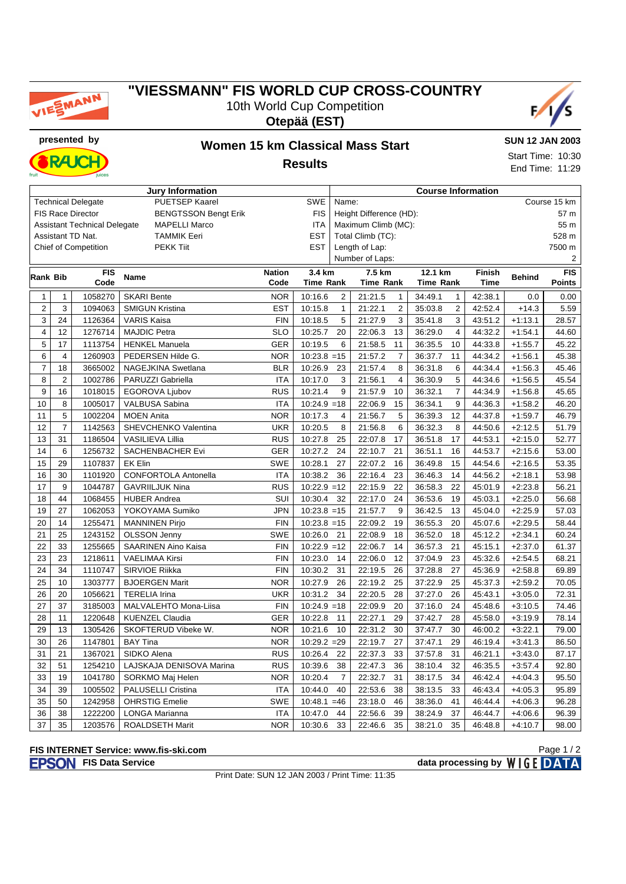

## **"VIESSMANN" FIS WORLD CUP CROSS-COUNTRY** 10th World Cup Competition





**RAJC** 

### **presented by Women 15 km Classical Mass Start Results**

**SUN 12 JAN 2003** Start Time: 10:30 End Time: 11:29

| <b>Jury Information</b> |                |                                     |                             |               |                  |                         | <b>Course Information</b> |                  |                 |               |            |               |  |
|-------------------------|----------------|-------------------------------------|-----------------------------|---------------|------------------|-------------------------|---------------------------|------------------|-----------------|---------------|------------|---------------|--|
|                         |                | <b>Technical Delegate</b>           | PUETSEP Kaarel              |               | <b>SWE</b>       | Course 15 km<br>Name:   |                           |                  |                 |               |            |               |  |
|                         |                | <b>FIS Race Director</b>            | <b>BENGTSSON Bengt Erik</b> |               | <b>FIS</b>       | Height Difference (HD): |                           |                  |                 |               |            | 57 m          |  |
|                         |                | <b>Assistant Technical Delegate</b> | <b>MAPELLI Marco</b>        |               | ITA              |                         | Maximum Climb (MC):       |                  |                 |               |            | 55 m          |  |
|                         |                | Assistant TD Nat.                   | <b>TAMMIK Eeri</b>          |               | <b>EST</b>       |                         | Total Climb (TC):         |                  |                 |               | 528 m      |               |  |
|                         |                | <b>Chief of Competition</b>         | <b>PEKK Tiit</b>            |               | <b>EST</b>       |                         | Length of Lap:            |                  |                 |               |            | 7500 m        |  |
|                         |                |                                     |                             |               |                  |                         | Number of Laps:           |                  |                 |               |            | 2             |  |
| Rank Bib                |                | <b>FIS</b>                          | Name                        | <b>Nation</b> | 3.4 km           | 7.5 km<br>12.1 km       |                           |                  | <b>Finish</b>   | <b>Behind</b> | <b>FIS</b> |               |  |
|                         |                | Code                                |                             | Code          | <b>Time Rank</b> |                         | <b>Time Rank</b>          | <b>Time Rank</b> |                 | <b>Time</b>   |            | <b>Points</b> |  |
| $\mathbf{1}$            | 1              | 1058270                             | <b>SKARI Bente</b>          | <b>NOR</b>    | 10:16.6          | $\overline{2}$          | 21:21.5<br>$\mathbf{1}$   | 34:49.1          | $\mathbf{1}$    | 42:38.1       | 0.0        | 0.00          |  |
| $\overline{2}$          | 3              | 1094063                             | <b>SMIGUN Kristina</b>      | <b>EST</b>    | 10:15.8          | $\mathbf{1}$            | 21:22.1<br>2              | 35:03.8          | $\overline{2}$  | 42:52.4       | $+14.3$    | 5.59          |  |
| 3                       | 24             | 1126364                             | <b>VARIS Kaisa</b>          | <b>FIN</b>    | 10:18.5          | 5                       | 21:27.9<br>3              | 35:41.8          | 3               | 43:51.2       | $+1:13.1$  | 28.57         |  |
| 4                       | 12             | 1276714                             | <b>MAJDIC Petra</b>         | <b>SLO</b>    | 10:25.7          | 20                      | 22:06.3<br>13             | 36:29.0          | $\overline{4}$  | 44:32.2       | $+1:54.1$  | 44.60         |  |
| $\mathbf 5$             | 17             | 1113754                             | <b>HENKEL Manuela</b>       | <b>GER</b>    | 10:19.5          | 6                       | 11<br>21:58.5             | 36:35.5          | 10              | 44:33.8       | $+1:55.7$  | 45.22         |  |
| 6                       | $\overline{4}$ | 1260903                             | PEDERSEN Hilde G.           | <b>NOR</b>    | $10:23.8 = 15$   |                         | 21:57.2<br>$\overline{7}$ | 36:37.7          | 11              | 44:34.2       | $+1:56.1$  | 45.38         |  |
| 7                       | 18             | 3665002                             | NAGEJKINA Swetlana          | <b>BLR</b>    | 10:26.9          | 23                      | 21:57.4<br>8              | 36:31.8          | 6               | 44:34.4       | $+1:56.3$  | 45.46         |  |
| 8                       | $\overline{2}$ | 1002786                             | PARUZZI Gabriella           | <b>ITA</b>    | 10:17.0          | 3                       | 21:56.1<br>$\overline{4}$ | 36:30.9          | 5               | 44:34.6       | $+1:56.5$  | 45.54         |  |
| 9                       | 16             | 1018015                             | EGOROVA Ljubov              | <b>RUS</b>    | 10:21.4          | 9                       | 21:57.9<br>10             | 36:32.1          | $\overline{7}$  | 44:34.9       | $+1:56.8$  | 45.65         |  |
| 10                      | 8              | 1005017                             | VALBUSA Sabina              | <b>ITA</b>    | $10:24.9 = 18$   |                         | 22:06.9<br>15             | 36:34.1          | 9               | 44:36.3       | $+1:58.2$  | 46.20         |  |
| 11                      | 5              | 1002204                             | <b>MOEN Anita</b>           | <b>NOR</b>    | 10:17.3          | $\overline{4}$          | 21:56.7<br>5              | 36:39.3          | 12              | 44:37.8       | $+1:59.7$  | 46.79         |  |
| 12                      | $\overline{7}$ | 1142563                             | SHEVCHENKO Valentina        | <b>UKR</b>    | 10:20.5          | 8                       | 21:56.8<br>6              | 36:32.3          | 8               | 44:50.6       | $+2:12.5$  | 51.79         |  |
| 13                      | 31             | 1186504                             | VASILIEVA Lillia            | <b>RUS</b>    | 10:27.8          | 25                      | 22:07.8<br>17             | 36:51.8          | 17              | 44:53.1       | $+2:15.0$  | 52.77         |  |
| 14                      | 6              | 1256732                             | SACHENBACHER Evi            | <b>GER</b>    | 10:27.2          | 24                      | 22:10.7<br>21             | 36:51.1          | 16              | 44:53.7       | $+2:15.6$  | 53.00         |  |
| 15                      | 29             | 1107837                             | <b>EK Elin</b>              | <b>SWE</b>    | 10:28.1          | 27                      | 22:07.2<br>16             | 36:49.8          | 15              | 44:54.6       | $+2:16.5$  | 53.35         |  |
| 16                      | 30             | 1101920                             | <b>CONFORTOLA Antonella</b> | <b>ITA</b>    | 10:38.2          | 36                      | 23<br>22:16.4             | 36:46.3          | 14              | 44:56.2       | $+2:18.1$  | 53.98         |  |
| 17                      | 9              | 1044787                             | <b>GAVRIILJUK Nina</b>      | <b>RUS</b>    | $10:22.9 = 12$   |                         | 22:15.9<br>22             | 36:58.3          | 22              | 45:01.9       | $+2:23.8$  | 56.21         |  |
| 18                      | 44             | 1068455                             | <b>HUBER Andrea</b>         | SUI           | 10:30.4          | 32                      | 22:17.0<br>24             | 36:53.6          | 19              | 45:03.1       | $+2:25.0$  | 56.68         |  |
| 19                      | 27             | 1062053                             | YOKOYAMA Sumiko             | <b>JPN</b>    | $10:23.8 = 15$   |                         | 21:57.7<br>9              | 36:42.5          | 13              | 45:04.0       | $+2:25.9$  | 57.03         |  |
| 20                      | 14             | 1255471                             | <b>MANNINEN Pirjo</b>       | <b>FIN</b>    | $10:23.8 = 15$   |                         | 22:09.2<br>19             | 36:55.3          | 20              | 45:07.6       | $+2:29.5$  | 58.44         |  |
| 21                      | 25             | 1243152                             | <b>OLSSON Jenny</b>         | SWE           | 10:26.0          | 21                      | 22:08.9<br>18             | 36:52.0          | 18              | 45:12.2       | $+2:34.1$  | 60.24         |  |
| 22                      | 33             | 1255665                             | SAARINEN Aino Kaisa         | <b>FIN</b>    | $10:22.9 = 12$   |                         | 14<br>22:06.7             | 36:57.3          | 21              | 45:15.1       | $+2:37.0$  | 61.37         |  |
| 23                      | 23             | 1218611                             | VAELIMAA Kirsi              | <b>FIN</b>    | 10:23.0          | 14                      | 22:06.0<br>12             | 37:04.9          | 23              | 45:32.6       | $+2:54.5$  | 68.21         |  |
| 24                      | 34             | 1110747                             | SIRVIOE Riikka              | <b>FIN</b>    | 10:30.2          | 31                      | 22:19.5<br>26             | 37:28.8          | 27              | 45:36.9       | $+2:58.8$  | 69.89         |  |
| 25                      | 10             | 1303777                             | <b>BJOERGEN Marit</b>       | <b>NOR</b>    | 10:27.9          | 26                      | 22:19.2<br>25             | 37:22.9          | 25              | 45:37.3       | $+2:59.2$  | 70.05         |  |
| 26                      | 20             | 1056621                             | <b>TERELIA Irina</b>        | <b>UKR</b>    | 10:31.2          | 34                      | 22:20.5<br>28             | 37:27.0          | 26              | 45:43.1       | $+3:05.0$  | 72.31         |  |
| 27                      | 37             | 3185003                             | MALVALEHTO Mona-Liisa       | <b>FIN</b>    | $10:24.9 = 18$   |                         | 22:09.9<br>20             | 37:16.0          | 24              | 45:48.6       | $+3:10.5$  | 74.46         |  |
| 28                      | 11             | 1220648                             | <b>KUENZEL Claudia</b>      | <b>GER</b>    | 10:22.8          | 11                      | 22:27.1<br>29             | 37:42.7          | 28              | 45:58.0       | $+3:19.9$  | 78.14         |  |
| 29                      | 13             | 1305426                             | SKOFTERUD Vibeke W.         | <b>NOR</b>    | 10:21.6          | 10                      | 22:31.2<br>30             | 37:47.7          | 30              | 46:00.2       | $+3:22.1$  | 79.00         |  |
| 30                      | 26             | 1147801                             | <b>BAY Tina</b>             | <b>NOR</b>    | $10:29.2 = 29$   |                         | 22:19.7<br>27             | 37:47.1          | 29              | 46:19.4       | $+3:41.3$  | 86.50         |  |
| 31                      | 21             | 1367021                             | SIDKO Alena                 | <b>RUS</b>    | 10:26.4          | 22                      | 22:37.3<br>33             | 37:57.8          | 31              | 46:21.1       | $+3:43.0$  | 87.17         |  |
| 32                      | 51             | 1254210                             | LAJSKAJA DENISOVA Marina    | <b>RUS</b>    | 10:39.6          | 38                      | 22:47.3<br>36             | 38:10.4          | 32              | 46:35.5       | $+3:57.4$  | 92.80         |  |
| 33                      | 19             | 1041780                             | SORKMO Maj Helen            | <b>NOR</b>    | 10:20.4          | $\overline{7}$          | 22:32.7<br>31             | 38:17.5          | 34              | 46:42.4       | $+4:04.3$  | 95.50         |  |
| 34                      | 39             | 1005502                             | <b>PALUSELLI Cristina</b>   | <b>ITA</b>    | 10:44.0          | 40                      | 22:53.6<br>38             | 38:13.5          | 33              | 46:43.4       | $+4:05.3$  | 95.89         |  |
| 35                      | 50             | 1242958                             | <b>OHRSTIG Emelie</b>       | <b>SWE</b>    | $10:48.1 = 46$   |                         | 23:18.0<br>46             | 38:36.0          | 41              | 46:44.4       | $+4:06.3$  | 96.28         |  |
| 36                      | 38             | 1222200                             | LONGA Marianna              | <b>ITA</b>    | 10:47.0          | 44                      | 22:56.6<br>39             | 38:24.9          | 37              | 46:44.7       | $+4:06.6$  | 96.39         |  |
| 37                      | 35             | 1203576                             | ROALDSETH Marit             | <b>NOR</b>    | 10:30.6          | 33                      | 35<br>22:46.6             | 38:21.0          | $\overline{35}$ | 46:48.8       | $+4:10.7$  | 98.00         |  |

### **FIS INTERNET Service: www.fis-ski.com**

**FISON** FIS Data Service **data processing by** WIGE DATA Page 1 / 2

Print Date: SUN 12 JAN 2003 / Print Time: 11:35